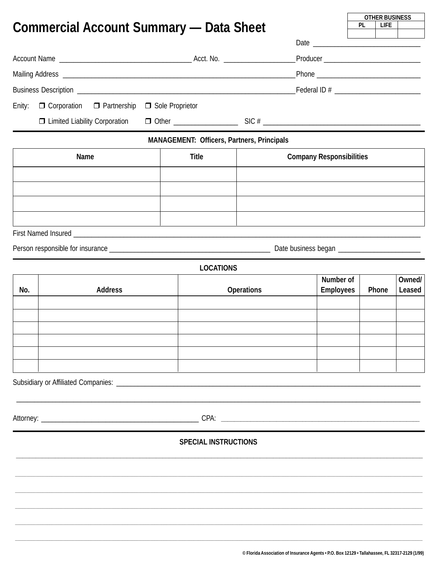|                                                                                                                |                 |                                                   |                   |                                                                                                | <b>PL</b>                       | <b>OTHER BUSINESS</b><br><b>LIFE</b> |        |  |  |
|----------------------------------------------------------------------------------------------------------------|-----------------|---------------------------------------------------|-------------------|------------------------------------------------------------------------------------------------|---------------------------------|--------------------------------------|--------|--|--|
| <b>Commercial Account Summary — Data Sheet</b>                                                                 |                 |                                                   |                   |                                                                                                |                                 |                                      |        |  |  |
|                                                                                                                |                 |                                                   |                   |                                                                                                |                                 |                                      |        |  |  |
|                                                                                                                |                 |                                                   |                   |                                                                                                |                                 |                                      |        |  |  |
|                                                                                                                |                 |                                                   |                   |                                                                                                |                                 |                                      |        |  |  |
|                                                                                                                |                 |                                                   |                   | Federal ID # ______________________________                                                    |                                 |                                      |        |  |  |
| □ Corporation □ Partnership<br>Enity:                                                                          | Sole Proprietor |                                                   |                   |                                                                                                |                                 |                                      |        |  |  |
| $\Box$ Limited Liability Corporation                                                                           |                 |                                                   |                   |                                                                                                |                                 |                                      |        |  |  |
|                                                                                                                |                 | <b>MANAGEMENT: Officers, Partners, Principals</b> |                   |                                                                                                |                                 |                                      |        |  |  |
| <b>Name</b>                                                                                                    |                 | <b>Title</b>                                      |                   |                                                                                                | <b>Company Responsibilities</b> |                                      |        |  |  |
|                                                                                                                |                 |                                                   |                   |                                                                                                |                                 |                                      |        |  |  |
|                                                                                                                |                 |                                                   |                   |                                                                                                |                                 |                                      |        |  |  |
|                                                                                                                |                 |                                                   |                   |                                                                                                |                                 |                                      |        |  |  |
|                                                                                                                |                 |                                                   |                   |                                                                                                |                                 |                                      |        |  |  |
|                                                                                                                |                 |                                                   |                   |                                                                                                |                                 |                                      |        |  |  |
|                                                                                                                |                 |                                                   |                   |                                                                                                |                                 |                                      |        |  |  |
|                                                                                                                |                 | <b>LOCATIONS</b>                                  |                   |                                                                                                |                                 |                                      |        |  |  |
|                                                                                                                |                 |                                                   |                   | Number of                                                                                      |                                 | Owned/                               |        |  |  |
| No.<br><b>Address</b>                                                                                          |                 |                                                   | <b>Operations</b> | <b>Employees</b>                                                                               |                                 | Phone                                | Leased |  |  |
|                                                                                                                |                 |                                                   |                   |                                                                                                |                                 |                                      |        |  |  |
|                                                                                                                |                 |                                                   |                   |                                                                                                |                                 |                                      |        |  |  |
|                                                                                                                |                 |                                                   |                   |                                                                                                |                                 |                                      |        |  |  |
|                                                                                                                |                 |                                                   |                   |                                                                                                |                                 |                                      |        |  |  |
|                                                                                                                |                 |                                                   |                   |                                                                                                |                                 |                                      |        |  |  |
|                                                                                                                |                 |                                                   |                   |                                                                                                |                                 |                                      |        |  |  |
|                                                                                                                |                 |                                                   |                   |                                                                                                |                                 |                                      |        |  |  |
| Attorney: 2008. 2009. 2009. 2010. 2010. 2010. 2010. 2010. 2010. 2010. 2010. 2010. 2010. 2010. 2010. 2010. 2010 |                 |                                                   |                   |                                                                                                |                                 |                                      |        |  |  |
|                                                                                                                |                 | <b>SPECIAL INSTRUCTIONS</b>                       |                   |                                                                                                |                                 |                                      |        |  |  |
|                                                                                                                |                 |                                                   |                   |                                                                                                |                                 |                                      |        |  |  |
|                                                                                                                |                 |                                                   |                   |                                                                                                |                                 |                                      |        |  |  |
|                                                                                                                |                 |                                                   |                   |                                                                                                |                                 |                                      |        |  |  |
|                                                                                                                |                 |                                                   |                   |                                                                                                |                                 |                                      |        |  |  |
|                                                                                                                |                 |                                                   |                   |                                                                                                |                                 |                                      |        |  |  |
|                                                                                                                |                 |                                                   |                   |                                                                                                |                                 |                                      |        |  |  |
|                                                                                                                |                 |                                                   |                   | © Florida Association of Insurance Agents • P.O. Box 12129 • Tallahassee. FL 32317-2129 (1/99) |                                 |                                      |        |  |  |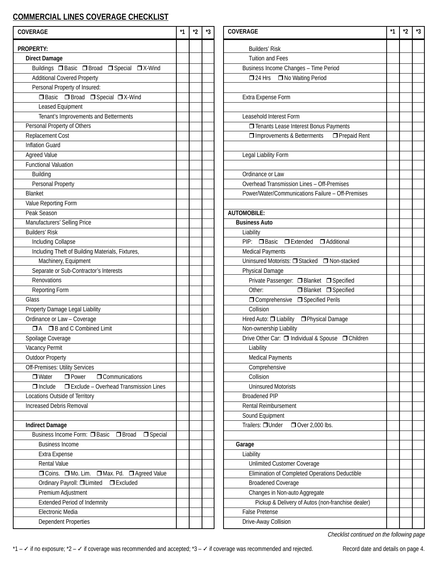## **COMMERCIAL LINES COVERAGE CHECKLIST**

| <b>COVERAGE</b>                                                | $*1$ | $^{\star}2$ | *3 | <b>COVERAGE</b>                                   | $*1$ | $*_{2}$ | *3 |
|----------------------------------------------------------------|------|-------------|----|---------------------------------------------------|------|---------|----|
| <b>PROPERTY:</b>                                               |      |             |    | <b>Builders' Risk</b>                             |      |         |    |
| <b>Direct Damage</b>                                           |      |             |    | <b>Tuition and Fees</b>                           |      |         |    |
| Buildings □ Basic □ Broad □ Special □ X-Wind                   |      |             |    | Business Income Changes - Time Period             |      |         |    |
| <b>Additional Covered Property</b>                             |      |             |    | □ 24 Hrs □ No Waiting Period                      |      |         |    |
| Personal Property of Insured:                                  |      |             |    |                                                   |      |         |    |
| □ Basic □ Broad □ Special □ X-Wind                             |      |             |    | Extra Expense Form                                |      |         |    |
| Leased Equipment                                               |      |             |    |                                                   |      |         |    |
| Tenant's Improvements and Betterments                          |      |             |    | Leasehold Interest Form                           |      |         |    |
| Personal Property of Others                                    |      |             |    | <b>T</b> Tenants Lease Interest Bonus Payments    |      |         |    |
| Replacement Cost                                               |      |             |    | □ Improvements & Betterments<br>Prepaid Rent      |      |         |    |
| <b>Inflation Guard</b>                                         |      |             |    |                                                   |      |         |    |
| Agreed Value                                                   |      |             |    | Legal Liability Form                              |      |         |    |
| <b>Functional Valuation</b>                                    |      |             |    |                                                   |      |         |    |
| <b>Building</b>                                                |      |             |    | Ordinance or Law                                  |      |         |    |
| Personal Property                                              |      |             |    | Overhead Transmission Lines - Off-Premises        |      |         |    |
| Blanket                                                        |      |             |    | Power/Water/Communications Failure - Off-Premises |      |         |    |
|                                                                |      |             |    |                                                   |      |         |    |
| Value Reporting Form                                           |      |             |    |                                                   |      |         |    |
| Peak Season                                                    |      |             |    | <b>AUTOMOBILE:</b>                                |      |         |    |
| Manufacturers' Selling Price                                   |      |             |    | <b>Business Auto</b>                              |      |         |    |
| <b>Builders' Risk</b>                                          |      |             |    | Liability                                         |      |         |    |
| Including Collapse                                             |      |             |    | PIP: □ Basic □ Extended<br><b>D</b> Additional    |      |         |    |
| Including Theft of Building Materials, Fixtures,               |      |             |    | <b>Medical Payments</b>                           |      |         |    |
| Machinery, Equipment                                           |      |             |    | Uninsured Motorists: □ Stacked □ Non-stacked      |      |         |    |
| Separate or Sub-Contractor's Interests                         |      |             |    | Physical Damage                                   |      |         |    |
| Renovations                                                    |      |             |    | Private Passenger: □ Blanket □ Specified          |      |         |    |
| Reporting Form                                                 |      |             |    | □ Blanket □ Specified<br>Other:                   |      |         |    |
| Glass                                                          |      |             |    | □ Comprehensive □ Specified Perils                |      |         |    |
| Property Damage Legal Liability                                |      |             |    | Collision                                         |      |         |    |
| Ordinance or Law - Coverage                                    |      |             |    | Hired Auto: Liability<br><b>Physical Damage</b>   |      |         |    |
| □ A □ B and C Combined Limit                                   |      |             |    | Non-ownership Liability                           |      |         |    |
| Spoilage Coverage                                              |      |             |    | Drive Other Car: □ Individual & Spouse □ Children |      |         |    |
| Vacancy Permit                                                 |      |             |    | Liability                                         |      |         |    |
| <b>Outdoor Property</b>                                        |      |             |    | <b>Medical Payments</b>                           |      |         |    |
| Off-Premises: Utility Services                                 |      |             |    | Comprehensive                                     |      |         |    |
| $\Box$ Water<br>$\Box$ Communications<br>$\Box$ Power          |      |             |    | Collision                                         |      |         |    |
| $\Box$ Exclude – Overhead Transmission Lines<br>$\Box$ Include |      |             |    | <b>Uninsured Motorists</b>                        |      |         |    |
| Locations Outside of Territory                                 |      |             |    | <b>Broadened PIP</b>                              |      |         |    |
| Increased Debris Removal                                       |      |             |    | Rental Reimbursement                              |      |         |    |
|                                                                |      |             |    | Sound Equipment                                   |      |         |    |
| <b>Indirect Damage</b>                                         |      |             |    | Trailers: □Under<br>Over 2,000 lbs.               |      |         |    |
| Business Income Form: □ Basic □ Broad<br>$\Box$ Special        |      |             |    |                                                   |      |         |    |
| <b>Business Income</b>                                         |      |             |    | Garage                                            |      |         |    |
| Extra Expense                                                  |      |             |    | Liability                                         |      |         |    |
| <b>Rental Value</b>                                            |      |             |    | <b>Unlimited Customer Coverage</b>                |      |         |    |
| □ Coins. □ Mo. Lim. □ Max. Pd. □ Agreed Value                  |      |             |    | Elimination of Completed Operations Deductible    |      |         |    |
| Ordinary Payroll: □Limited<br>$\Box$ Excluded                  |      |             |    | <b>Broadened Coverage</b>                         |      |         |    |
| Premium Adjustment                                             |      |             |    | Changes in Non-auto Aggregate                     |      |         |    |
| <b>Extended Period of Indemnity</b>                            |      |             |    | Pickup & Delivery of Autos (non-franchise dealer) |      |         |    |
| Electronic Media                                               |      |             |    | <b>False Pretense</b>                             |      |         |    |
| Dependent Properties                                           |      |             |    | Drive-Away Collision                              |      |         |    |
|                                                                |      |             |    |                                                   |      |         |    |

Checklist continued on the following page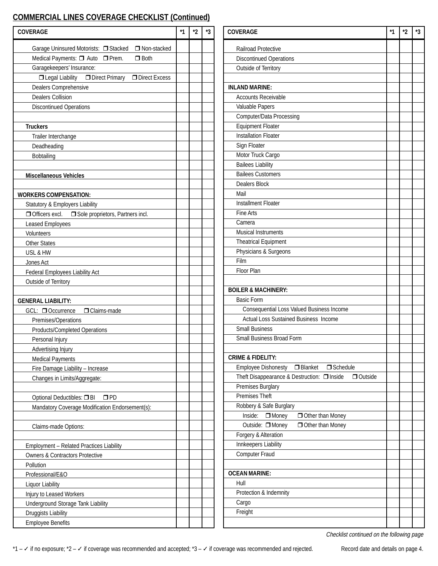## **COMMERCIAL LINES COVERAGE CHECKLIST (Continued)**

| <b>COVERAGE</b>                                           | $*1$ | $*_{2}$ | *3 | <b>COVERAGE</b>                                                 | $*1$ | $*2$ | *3 |
|-----------------------------------------------------------|------|---------|----|-----------------------------------------------------------------|------|------|----|
| □ Non-stacked<br>Garage Uninsured Motorists: □ Stacked    |      |         |    | <b>Railroad Protective</b>                                      |      |      |    |
| Medical Payments: [ Auto   Prem.<br>$\Box$ Both           |      |         |    | <b>Discontinued Operations</b>                                  |      |      |    |
| Garagekeepers' Insurance:                                 |      |         |    | Outside of Territory                                            |      |      |    |
| □ Legal Liability □ Direct Primary<br>Direct Excess       |      |         |    |                                                                 |      |      |    |
| Dealers Comprehensive                                     |      |         |    | <b>INLAND MARINE:</b>                                           |      |      |    |
| <b>Dealers Collision</b>                                  |      |         |    | <b>Accounts Receivable</b>                                      |      |      |    |
| <b>Discontinued Operations</b>                            |      |         |    | Valuable Papers                                                 |      |      |    |
|                                                           |      |         |    | Computer/Data Processing                                        |      |      |    |
| <b>Truckers</b>                                           |      |         |    | <b>Equipment Floater</b>                                        |      |      |    |
| Trailer Interchange                                       |      |         |    | <b>Installation Floater</b>                                     |      |      |    |
| Deadheading                                               |      |         |    | Sign Floater                                                    |      |      |    |
| Bobtailing                                                |      |         |    | Motor Truck Cargo                                               |      |      |    |
|                                                           |      |         |    | <b>Bailees Liability</b>                                        |      |      |    |
| <b>Miscellaneous Vehicles</b>                             |      |         |    | <b>Bailees Customers</b>                                        |      |      |    |
|                                                           |      |         |    | Dealers Block                                                   |      |      |    |
| <b>WORKERS COMPENSATION:</b>                              |      |         |    | Mail                                                            |      |      |    |
| Statutory & Employers Liability                           |      |         |    | <b>Installment Floater</b>                                      |      |      |    |
| $\Box$ Officers excl.<br>Sole proprietors, Partners incl. |      |         |    | Fine Arts                                                       |      |      |    |
| Leased Employees                                          |      |         |    | Camera                                                          |      |      |    |
| Volunteers                                                |      |         |    | <b>Musical Instruments</b>                                      |      |      |    |
| <b>Other States</b>                                       |      |         |    | <b>Theatrical Equipment</b>                                     |      |      |    |
| USL & HW                                                  |      |         |    | Physicians & Surgeons                                           |      |      |    |
| Jones Act                                                 |      |         |    | Film                                                            |      |      |    |
| Federal Employees Liability Act                           |      |         |    | Floor Plan                                                      |      |      |    |
| Outside of Territory                                      |      |         |    |                                                                 |      |      |    |
|                                                           |      |         |    | <b>BOILER &amp; MACHINERY:</b>                                  |      |      |    |
| <b>GENERAL LIABILITY:</b>                                 |      |         |    | <b>Basic Form</b>                                               |      |      |    |
| GCL: □ Occurrence<br>Oclaims-made                         |      |         |    | Consequential Loss Valued Business Income                       |      |      |    |
| Premises/Operations                                       |      |         |    | Actual Loss Sustained Business Income                           |      |      |    |
| Products/Completed Operations                             |      |         |    | <b>Small Business</b>                                           |      |      |    |
| Personal Injury                                           |      |         |    | Small Business Broad Form                                       |      |      |    |
| Advertising Injury                                        |      |         |    |                                                                 |      |      |    |
| <b>Medical Payments</b>                                   |      |         |    | <b>CRIME &amp; FIDELITY:</b>                                    |      |      |    |
| Fire Damage Liability - Increase                          |      |         |    | $\Box$ Schedule<br><b>Employee Dishonesty</b><br>$\Box$ Blanket |      |      |    |
| Changes in Limits/Aggregate:                              |      |         |    | Theft Disappearance & Destruction: □ Inside<br>$\Box$ Outside   |      |      |    |
|                                                           |      |         |    | Premises Burglary                                               |      |      |    |
| Optional Deductibles: □ BI<br>$\square$ PD                |      |         |    | Premises Theft                                                  |      |      |    |
| Mandatory Coverage Modification Endorsement(s):           |      |         |    | Robbery & Safe Burglary                                         |      |      |    |
|                                                           |      |         |    | Inside:<br>$\Box$ Money<br>Other than Money                     |      |      |    |
| Claims-made Options:                                      |      |         |    | Outside: □ Money<br>Other than Money                            |      |      |    |
|                                                           |      |         |    | Forgery & Alteration                                            |      |      |    |
|                                                           |      |         |    | Innkeepers Liability                                            |      |      |    |
| Employment - Related Practices Liability                  |      |         |    | Computer Fraud                                                  |      |      |    |
| <b>Owners &amp; Contractors Protective</b>                |      |         |    |                                                                 |      |      |    |
| Pollution                                                 |      |         |    | <b>OCEAN MARINE:</b>                                            |      |      |    |
| Professional/E&O                                          |      |         |    | Hull                                                            |      |      |    |
| Liquor Liability                                          |      |         |    | Protection & Indemnity                                          |      |      |    |
| Injury to Leased Workers                                  |      |         |    |                                                                 |      |      |    |
| Underground Storage Tank Liability                        |      |         |    | Cargo<br>Freight                                                |      |      |    |
| Druggists Liability                                       |      |         |    |                                                                 |      |      |    |
| <b>Employee Benefits</b>                                  |      |         |    |                                                                 |      |      |    |

| <b>COVERAGE</b>                                                 | *1 | *2 | *3 |
|-----------------------------------------------------------------|----|----|----|
| <b>Railroad Protective</b>                                      |    |    |    |
| <b>Discontinued Operations</b>                                  |    |    |    |
| Outside of Territory                                            |    |    |    |
|                                                                 |    |    |    |
| <b>INLAND MARINE:</b>                                           |    |    |    |
| Accounts Receivable                                             |    |    |    |
| Valuable Papers                                                 |    |    |    |
| Computer/Data Processing                                        |    |    |    |
| <b>Equipment Floater</b>                                        |    |    |    |
| <b>Installation Floater</b>                                     |    |    |    |
| Sign Floater                                                    |    |    |    |
| Motor Truck Cargo                                               |    |    |    |
| <b>Bailees Liability</b>                                        |    |    |    |
| <b>Bailees Customers</b>                                        |    |    |    |
| Dealers Block                                                   |    |    |    |
| Mail                                                            |    |    |    |
| <b>Installment Floater</b>                                      |    |    |    |
| Fine Arts                                                       |    |    |    |
| Camera                                                          |    |    |    |
| <b>Musical Instruments</b>                                      |    |    |    |
| <b>Theatrical Equipment</b>                                     |    |    |    |
| Physicians & Surgeons                                           |    |    |    |
| Film                                                            |    |    |    |
| Floor Plan                                                      |    |    |    |
|                                                                 |    |    |    |
| <b>BOILER &amp; MACHINERY:</b>                                  |    |    |    |
| <b>Basic Form</b>                                               |    |    |    |
| Consequential Loss Valued Business Income                       |    |    |    |
| <b>Actual Loss Sustained Business Income</b>                    |    |    |    |
| <b>Small Business</b>                                           |    |    |    |
| Small Business Broad Form                                       |    |    |    |
|                                                                 |    |    |    |
| <b>CRIME &amp; FIDELITY:</b>                                    |    |    |    |
| <b>Employee Dishonesty</b><br>$\Box$ Blanket<br>$\Box$ Schedule |    |    |    |
| Theft Disappearance & Destruction: □ Inside<br>Outside          |    |    |    |
| Premises Burglary                                               |    |    |    |
| <b>Premises Theft</b>                                           |    |    |    |
| Robbery & Safe Burglary                                         |    |    |    |
| $\Box$ Money<br>Inside:<br>Other than Money                     |    |    |    |
| Outside: □ Money<br>Other than Money                            |    |    |    |
| Forgery & Alteration                                            |    |    |    |
| Innkeepers Liability                                            |    |    |    |
| <b>Computer Fraud</b>                                           |    |    |    |
| <b>OCEAN MARINE:</b>                                            |    |    |    |
| Hull                                                            |    |    |    |
| Protection & Indemnity                                          |    |    |    |
| Cargo                                                           |    |    |    |
|                                                                 |    |    |    |
| Freight                                                         |    |    |    |

Checklist continued on the following page